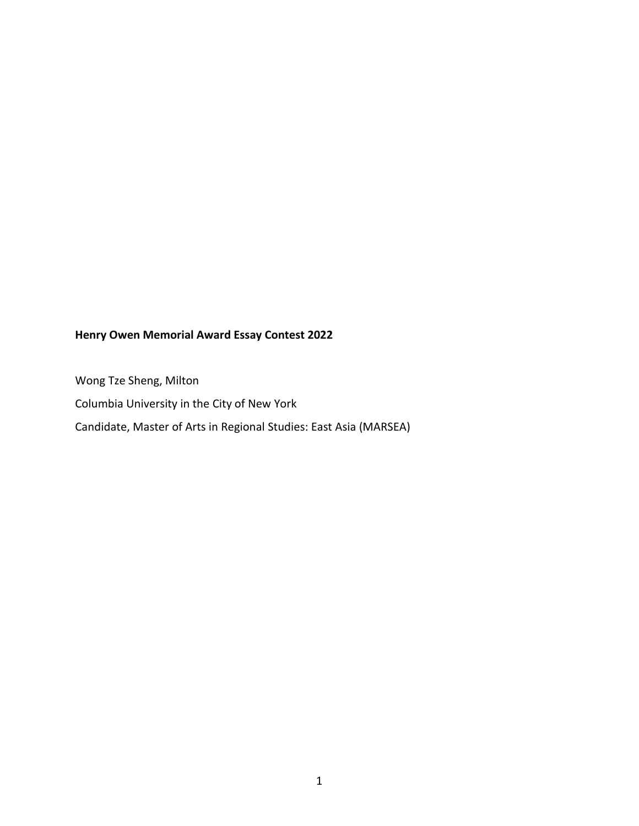## **Henry Owen Memorial Award Essay Contest 2022**

Wong Tze Sheng, Milton Columbia University in the City of New York Candidate, Master of Arts in Regional Studies: East Asia (MARSEA)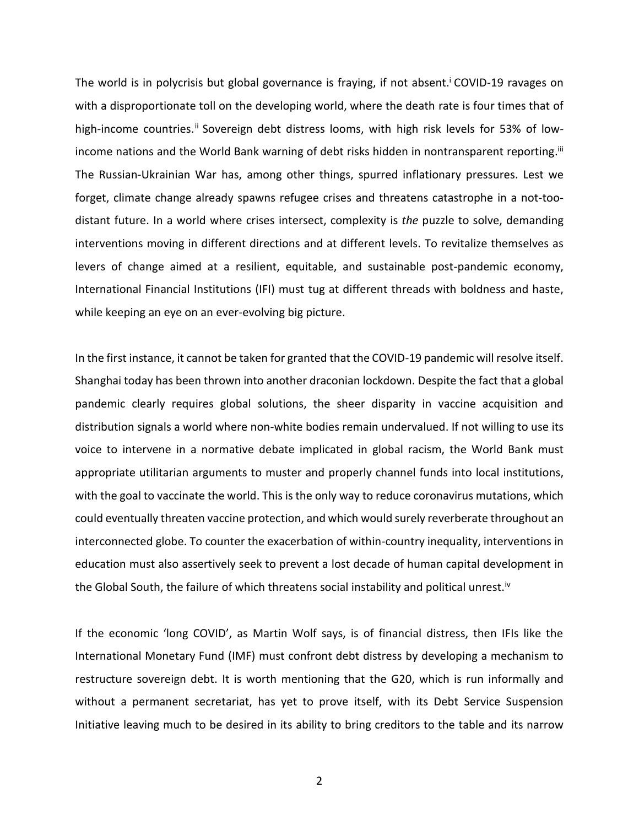The world is in polycrisis but global governance is fraying, if not absent.<sup>i</sup> COVID-19 ravages on with a disproportionate toll on the developing world, where the death rate is four times that of high-income countries.<sup>ii</sup> Sovereign debt distress looms, with high risk levels for 53% of lowincome nations and the World Bank warning of debt risks hidden in nontransparent reporting.<sup>iii</sup> The Russian-Ukrainian War has, among other things, spurred inflationary pressures. Lest we forget, climate change already spawns refugee crises and threatens catastrophe in a not-toodistant future. In a world where crises intersect, complexity is *the* puzzle to solve, demanding interventions moving in different directions and at different levels. To revitalize themselves as levers of change aimed at a resilient, equitable, and sustainable post-pandemic economy, International Financial Institutions (IFI) must tug at different threads with boldness and haste, while keeping an eye on an ever-evolving big picture.

In the first instance, it cannot be taken for granted that the COVID-19 pandemic will resolve itself. Shanghai today has been thrown into another draconian lockdown. Despite the fact that a global pandemic clearly requires global solutions, the sheer disparity in vaccine acquisition and distribution signals a world where non-white bodies remain undervalued. If not willing to use its voice to intervene in a normative debate implicated in global racism, the World Bank must appropriate utilitarian arguments to muster and properly channel funds into local institutions, with the goal to vaccinate the world. This is the only way to reduce coronavirus mutations, which could eventually threaten vaccine protection, and which would surely reverberate throughout an interconnected globe. To counter the exacerbation of within-country inequality, interventions in education must also assertively seek to prevent a lost decade of human capital development in the Global South, the failure of which threatens social instability and political unrest.<sup>iv</sup>

If the economic 'long COVID', as Martin Wolf says, is of financial distress, then IFIs like the International Monetary Fund (IMF) must confront debt distress by developing a mechanism to restructure sovereign debt. It is worth mentioning that the G20, which is run informally and without a permanent secretariat, has yet to prove itself, with its Debt Service Suspension Initiative leaving much to be desired in its ability to bring creditors to the table and its narrow

2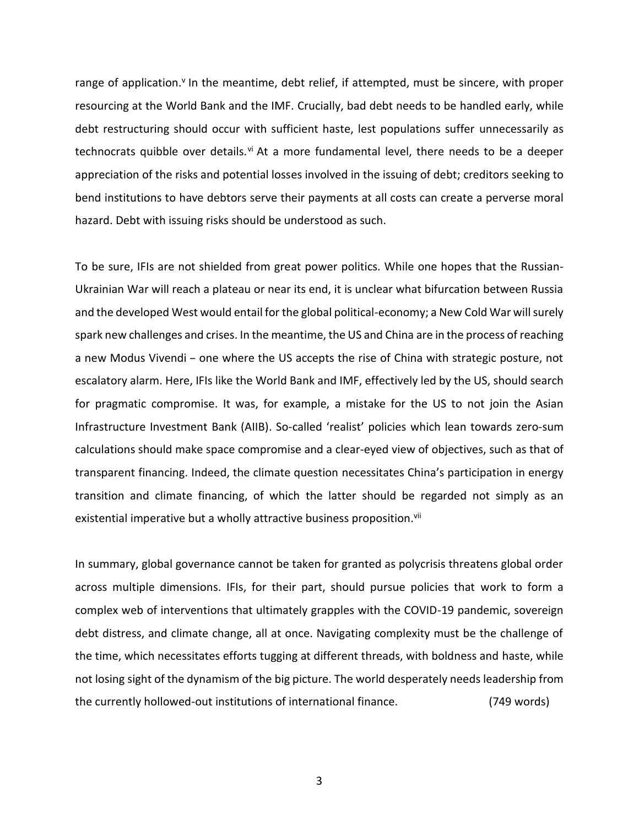range of application.<sup>v</sup> In the meantime, debt relief, if attempted, must be sincere, with proper resourcing at the World Bank and the IMF. Crucially, bad debt needs to be handled early, while debt restructuring should occur with sufficient haste, lest populations suffer unnecessarily as technocrats quibble over details.<sup>vi</sup> At a more fundamental level, there needs to be a deeper appreciation of the risks and potential losses involved in the issuing of debt; creditors seeking to bend institutions to have debtors serve their payments at all costs can create a perverse moral hazard. Debt with issuing risks should be understood as such.

To be sure, IFIs are not shielded from great power politics. While one hopes that the Russian-Ukrainian War will reach a plateau or near its end, it is unclear what bifurcation between Russia and the developed West would entail for the global political-economy; a New Cold War will surely spark new challenges and crises. In the meantime, the US and China are in the process of reaching a new Modus Vivendi – one where the US accepts the rise of China with strategic posture, not escalatory alarm. Here, IFIs like the World Bank and IMF, effectively led by the US, should search for pragmatic compromise. It was, for example, a mistake for the US to not join the Asian Infrastructure Investment Bank (AIIB). So-called 'realist' policies which lean towards zero-sum calculations should make space compromise and a clear-eyed view of objectives, such as that of transparent financing. Indeed, the climate question necessitates China's participation in energy transition and climate financing, of which the latter should be regarded not simply as an existential imperative but a wholly attractive business proposition.<sup>vii</sup>

In summary, global governance cannot be taken for granted as polycrisis threatens global order across multiple dimensions. IFIs, for their part, should pursue policies that work to form a complex web of interventions that ultimately grapples with the COVID-19 pandemic, sovereign debt distress, and climate change, all at once. Navigating complexity must be the challenge of the time, which necessitates efforts tugging at different threads, with boldness and haste, while not losing sight of the dynamism of the big picture. The world desperately needs leadership from the currently hollowed-out institutions of international finance. (749 words)

3